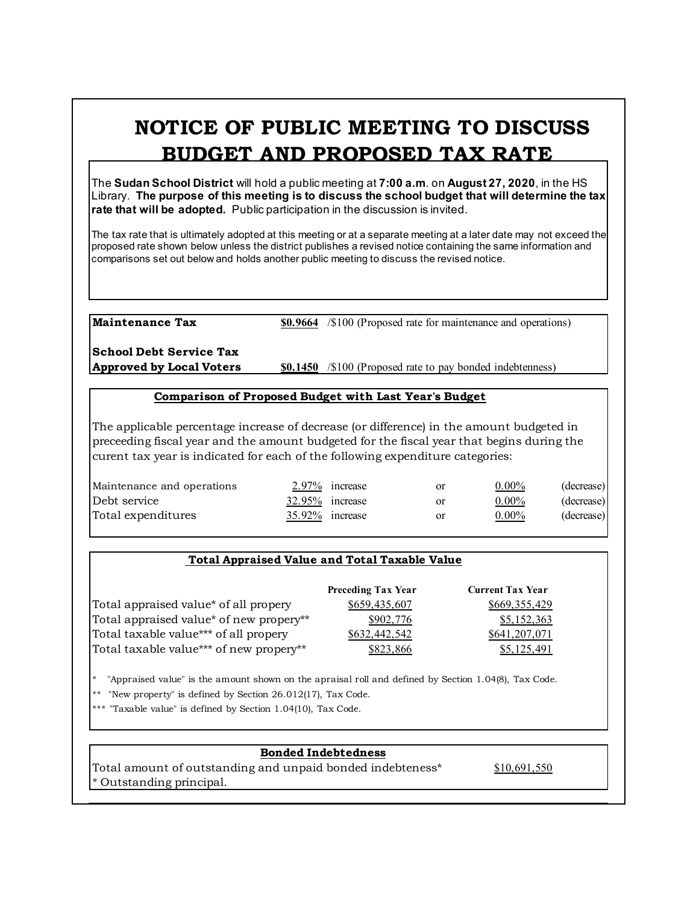# **NOTICE OF PUBLIC MEETING TO DISCUSS BUDGET AND PROPOSED TAX RATE**

The **Sudan School District** will hold a public meeting at **7:00 a.m**. on **August 27, 2020**, in the HS Library. **The purpose of this meeting is to discuss the school budget that will determine the tax rate that will be adopted.** Public participation in the discussion is invited.

The tax rate that is ultimately adopted at this meeting or at a separate meeting at a later date may not exceed the proposed rate shown below unless the district publishes a revised notice containing the same information and comparisons set out below and holds another public meeting to discuss the revised notice.

**Maintenance Tax \$0.9664** /\$100 (Proposed rate for maintenance and operations)

**School Debt Service Tax**

**Approved by Local Voters \$0.1450** /\$100 (Proposed rate to pay bonded indebtenness)

#### **Comparison of Proposed Budget with Last Year's Budget**

The applicable percentage increase of decrease (or difference) in the amount budgeted in preceeding fiscal year and the amount budgeted for the fiscal year that begins during the curent tax year is indicated for each of the following expenditure categories:

| Maintenance and operations |                 | 2.97% increase  | <b>or</b> | $0.00\%$ | (decrease) |
|----------------------------|-----------------|-----------------|-----------|----------|------------|
| Debt service               | 32.95% increase |                 | or        | $0.00\%$ | (decrease) |
| Total expenditures         |                 | 35.92% increase | or        | $0.00\%$ | (decrease) |

## **Total Appraised Value and Total Taxable Value**

|                                         | <b>Preceding Tax Year</b> | <b>Current Tax Year</b> |
|-----------------------------------------|---------------------------|-------------------------|
| Total appraised value* of all propery   | \$659,435,607             | \$669,355,429           |
| Total appraised value* of new propery** | \$902,776                 | \$5,152,363             |
| Total taxable value*** of all propery   | \$632,442,542             | \$641,207,071           |
| Total taxable value*** of new propery** | \$823,866                 | \$5,125,491             |

\* "Appraised value" is the amount shown on the apraisal roll and defined by Section 1.04(8), Tax Code.

"New property" is defined by Section  $26.012(17)$ , Tax Code.

\*\*\* "Taxable value" is defined by Section 1.04(10), Tax Code.

## **Bonded Indebtedness**

Total amount of outstanding and unpaid bonded indebteness\* \$10,691,550 \* Outstanding principal.